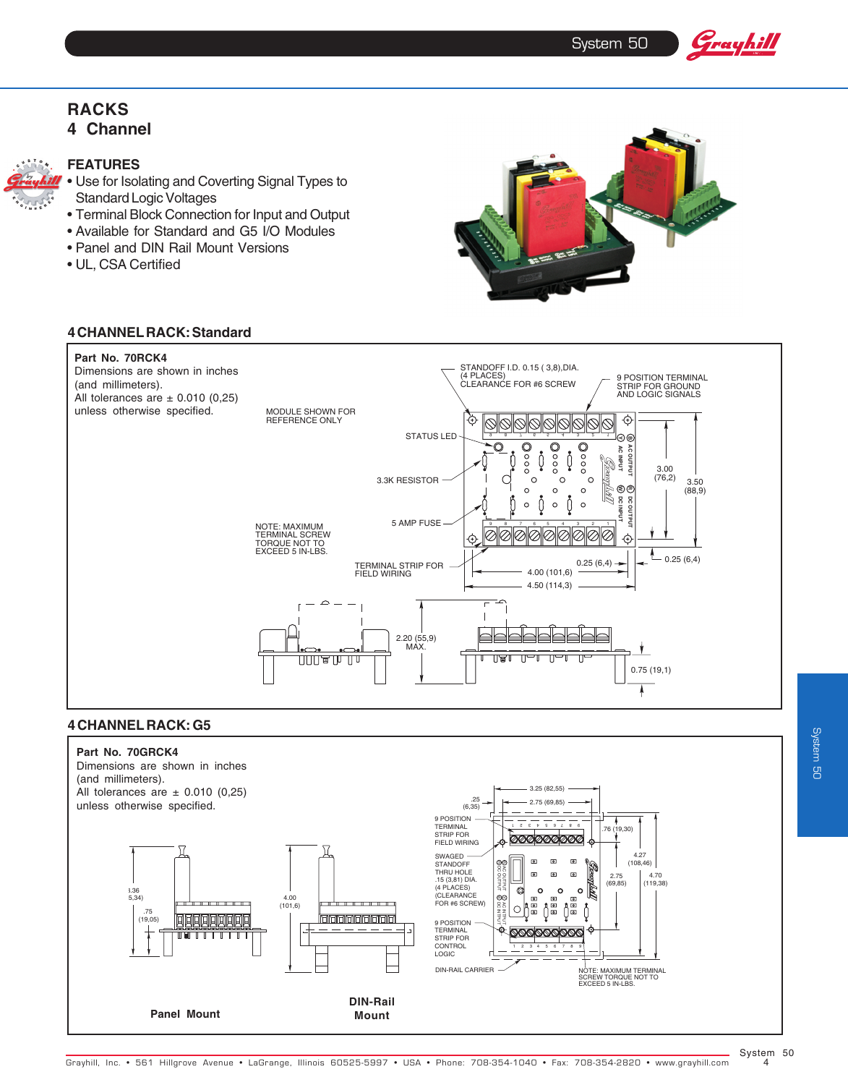System 50

Grayhill

## **RACKS 4 Channel**



#### **FEATURES**

- Use for Isolating and Coverting Signal Types to Standard Logic Voltages
- Terminal Block Connection for Input and Output
- Available for Standard and G5 I/O Modules
- Panel and DIN Rail Mount Versions
- UL, CSA Certified



#### **4 CHANNEL RACK: Standard**



#### **4 CHANNEL RACK: G5**

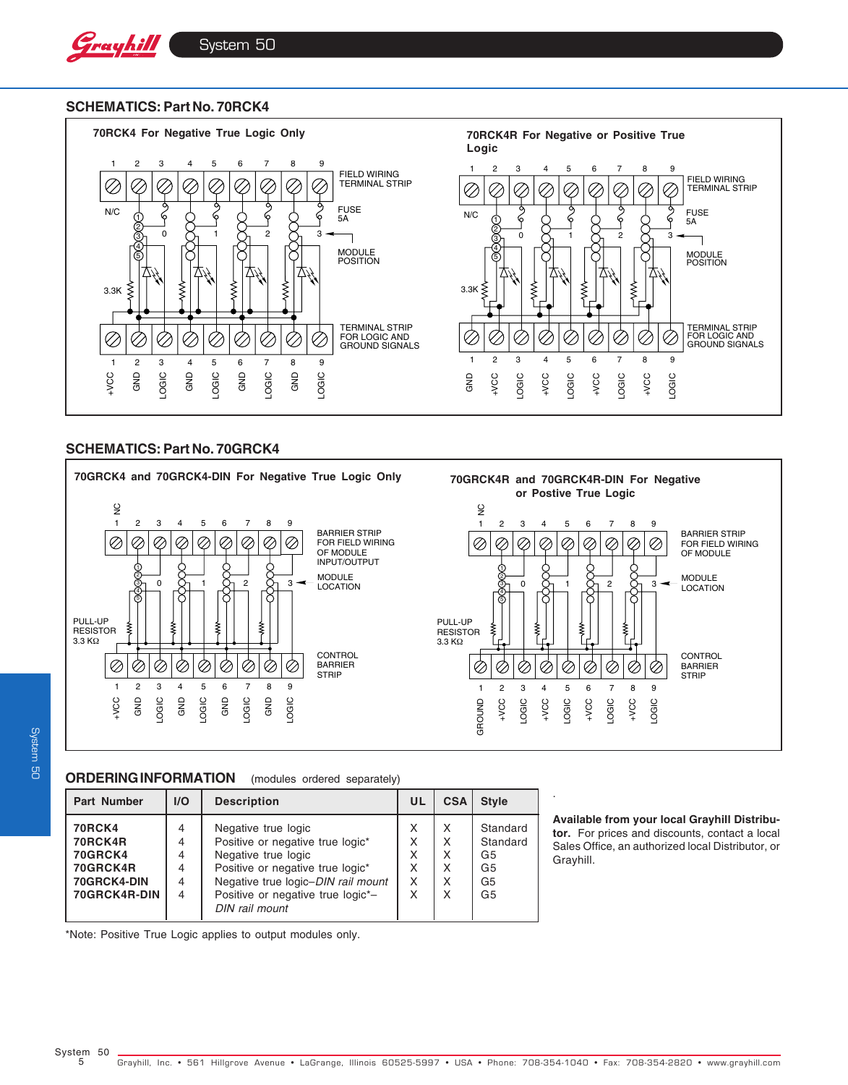#### **SCHEMATICS: Part No. 70RCK4**



#### **SCHEMATICS: Part No. 70GRCK4**



**System 50** System 50

### **ORDERING INFORMATION** (modules ordered separately)

| <b>Part Number</b>                                                                    | I/O                        | <b>Description</b>                                                                                                                                                                                              | UL                         | <b>CSA</b>                 | <b>Style</b>                                                                     |
|---------------------------------------------------------------------------------------|----------------------------|-----------------------------------------------------------------------------------------------------------------------------------------------------------------------------------------------------------------|----------------------------|----------------------------|----------------------------------------------------------------------------------|
| <b>70RCK4</b><br>70RCK4R<br><b>70GRCK4</b><br>70GRCK4R<br>70GRCK4-DIN<br>70GRCK4R-DIN | 4<br>4<br>4<br>4<br>4<br>4 | Negative true logic<br>Positive or negative true logic*<br>Negative true logic<br>Positive or negative true logic*<br>Negative true logic-DIN rail mount<br>Positive or negative true logic*-<br>DIN rail mount | X<br>x<br>x<br>X<br>X<br>x | X<br>X<br>X<br>X<br>X<br>X | Standard<br>Standard<br>G5<br>G <sub>5</sub><br>G <sub>5</sub><br>G <sub>5</sub> |

#### **Available from your local Grayhill Distributor.** For prices and discounts, contact a local Sales Office, an authorized local Distributor, or Grayhill.

.

\*Note: Positive True Logic applies to output modules only.